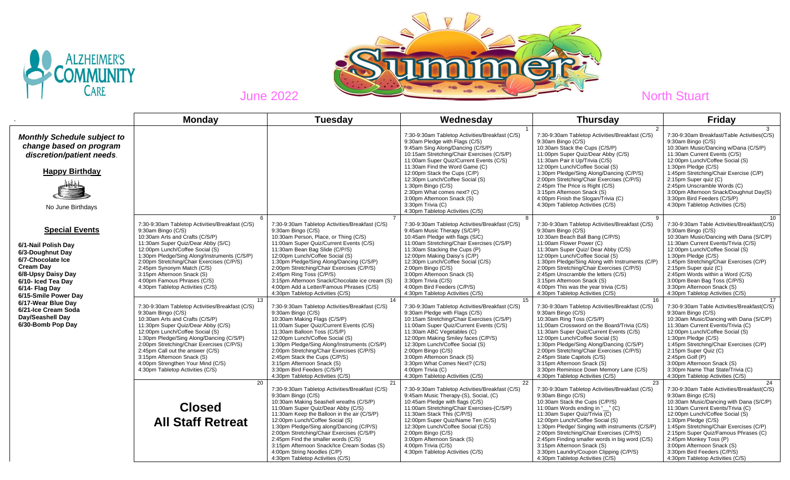



|                                                                                                                                                                                                 | <b>Monday</b>                                                                                                                                                                                                                                                                                                                                                                                                               | <b>Tuesdav</b>                                                                                                                                                                                                                                                                                                                                                                                                                                                                                  | Wednesday                                                                                                                                                                                                                                                                                                                                                                                                                                                        | <b>Thursday</b>                                                                                                                                                                                                                                                                                                                                                                                                                                                                   | <b>Friday</b>                                                                                                                                                                                                                                                                                                                                                                                                                   |
|-------------------------------------------------------------------------------------------------------------------------------------------------------------------------------------------------|-----------------------------------------------------------------------------------------------------------------------------------------------------------------------------------------------------------------------------------------------------------------------------------------------------------------------------------------------------------------------------------------------------------------------------|-------------------------------------------------------------------------------------------------------------------------------------------------------------------------------------------------------------------------------------------------------------------------------------------------------------------------------------------------------------------------------------------------------------------------------------------------------------------------------------------------|------------------------------------------------------------------------------------------------------------------------------------------------------------------------------------------------------------------------------------------------------------------------------------------------------------------------------------------------------------------------------------------------------------------------------------------------------------------|-----------------------------------------------------------------------------------------------------------------------------------------------------------------------------------------------------------------------------------------------------------------------------------------------------------------------------------------------------------------------------------------------------------------------------------------------------------------------------------|---------------------------------------------------------------------------------------------------------------------------------------------------------------------------------------------------------------------------------------------------------------------------------------------------------------------------------------------------------------------------------------------------------------------------------|
| <b>Monthly Schedule subject to</b><br>change based on program<br>discretion/patient needs.<br><b>Happy Birthday</b><br>No June Birthdays                                                        |                                                                                                                                                                                                                                                                                                                                                                                                                             |                                                                                                                                                                                                                                                                                                                                                                                                                                                                                                 | 7:30-9:30am Tabletop Activities/Breakfast (C/S)<br>9:30am Pledge with Flags (C/S)<br>9:45am Sing Along/Dancing (C/S/P)<br>10:15am Stretching/Chair Exercises (C/S/P)<br>11:00am Super Quiz/Current Events (C/S)<br>11:30am Find the Word Game (C)<br>12:00pm Stack the Cups (C/P)<br>12:30pm Lunch/Coffee Social (S)<br>1:30pm Bingo (C/S)<br>2:30pm What comes next? (C)<br>3:00pm Afternoon Snack (S)<br>3:30pm Trivia (C)<br>4:30pm Tabletop Activities (C/S) | 7:30-9:30am Tabletop Activities/Breakfast (C/S)<br>9:30am Bingo (C/S)<br>10:30am Stack the Cups (C/S/P)<br>11:00pm Super Quiz/Dear Abby (C/S)<br>11:30am Pair it Up/Trivia (C/S)<br>12:00pm Lunch/Coffee Social (S)<br>1:30pm Pledge/Sing Along/Dancing (C/P/S)<br>2:00pm Stretching/Chair Exercises (C/P/S)<br>2:45pm The Price is Right (C/S)<br>3:15pm Afternoon Snack (S)<br>4:00pm Finish the Slogan/Trivia (C)<br>4:30pm Tabletop Activities (C/S)                          | 7:30-9:30am Breakfast/Table Activities(C/S)<br>9:30am Bingo (C/S)<br>10:30am Music/Dancing w/Dana (C/S/P)<br>11:30am Current Events (C/S)<br>12:00pm Lunch/Coffee Social (S)<br>1:30pm Pledge (C/S)<br>1:45pm Stretching/Chair Exercise (C/P)<br>2:15pm Super quiz (C)<br>2:45pm Unscramble Words (C)<br>3:00pm Afternoon Snack/Doughnut Day(S)<br>3:30pm Bird Feeders (C/S/P)<br>4:30pm Tabletop Activities (C/S)              |
| <b>Special Events</b><br>6/1-Nail Polish Day<br>6/3-Doughnut Day<br>6/7-Chocolate Ice<br><b>Cream Day</b><br>6/8-Upsy Daisy Day<br>6/10- Iced Tea Day<br>6/14- Flag Day<br>6/15-Smile Power Day | 6<br>7:30-9:30am Tabletop Activities/Breakfast (C/S)<br>9:30am Bingo (C/S)<br>10:30am Arts and Crafts (C/S/P)<br>11:30am Super Quiz/Dear Abby (S/C)<br>12:00pm Lunch/Coffee Social (S)<br>1:30pm Pledge/Sing Along/Instruments (C/S/P)<br>2:00pm Stretching/Chair Exercises (C/P/S)<br>2:45pm Synonym Match (C/S)<br>3:15pm Afternoon Snack (S)<br>4:00pm Famous Phrases (C/S)<br>4:30pm Tabletop Activities (C/S)          | 7:30-9:30am Tabletop Activities/Breakfast (C/S)<br>9:30am Bingo (C/S)<br>10:30am Person, Place, or Thing (C/S)<br>11:00am Super Quiz/Current Events (C/S)<br>11:30am Bean Bag Slide (C/P/S)<br>12:00pm Lunch/Coffee Social (S)<br>1:30pm Pledge/Sing Along/Dancing (C/S/P)<br>2:00pm Stretching/Chair Exercises (C/P/S)<br>2:45pm Ring Toss (C/P/S)<br>3:15pm Afternoon Snack/Chocolate ice cream (S)<br>4:00pm Add a Letter/Famous Phrases (C/S)<br>4:30pm Tabletop Activities (C/S)           | 8<br>7:30-9:30am Tabletop Activities/Breakfast (C/S)<br>9:45am Music Therapy (S/C/P)<br>10:45am Pledge with flags (S/C)<br>11:00am Stretching/Chair Exercises (C/S/P)<br>11:30am Stacking the Cups (P)<br>12:00pm Making Daisy's (C/P)<br>12:30pm Lunch/Coffee Social (C/S)<br>2:00pm Bingo (C/S)<br>3:00pm Afternoon Snack (S)<br>3:30pm Trivia (C/S)<br>4:00pm Bird Feeders (C/P/S)<br>4:30pm Tabletop Activities (C/S)                                        | 7:30-9:30am Tabletop Activities/Breakfast (C/S)<br>9:30am Bingo (C/S)<br>10:30am Beach Ball Bang (C/P/S)<br>11:00am Flower Power (C)<br>11:30am Super Quiz/ Dear Abby (C/S)<br>12:00pm Lunch/Coffee Social (S)<br>1:30pm Pledge/Sing Along with Instruments (C/P)<br>2:00pm Stretching/Chair Exercises (C/P/S)<br>2:45pm Unscramble the letters (C/S)<br>3:15pm Afternoon Snack (S)<br>4:00pm This was the year trivia (C/S)<br>4:30pm Tabletop Activities (C/S)                  | 10<br>7:30-9:30am Table Activities/Breakfast(C/S)<br>9:30am Bingo (C/S)<br>10:30am Music/Dancing with Dana (S/C/P)<br>11:30am Current Events/Trivia (C/S)<br>12:00pm Lunch/Coffee Social (S)<br>1:30pm Pledge (C/S)<br>1:45pm Stretching/Chair Exercises (C/P)<br>2:15pm Super quiz (C)<br>2:45pm Words within a Word (C/S)<br>3:00pm Bean Bag Toss (C/P/S)<br>3:30pm Afternoon Snack (S)<br>4:30pm Tabletop Activities (C/S)   |
| 6/17-Wear Blue Dav<br>6/21-Ice Cream Soda<br>Day/Seashell Day<br>6/30-Bomb Pop Day                                                                                                              | 13<br>7:30-9:30am Tabletop Activities/Breakfast (C/S)<br>9:30am Bingo (C/S)<br>10:30am Arts and Crafts (C/S/P)<br>11:30pm Super Quiz/Dear Abby (C/S)<br>12:00pm Lunch/Coffee Social (S)<br>1:30pm Pledge/Sing Along/Dancing (C/S/P)<br>2:00pm Stretching/Chair Exercises (C/P/S)<br>2:45pm Call out the answer (C/S)<br>3:15pm Afternoon Snack (S)<br>4:00pm Strengthen Your Mind (C/S)<br>4:30pm Tabletop Activities (C/S) | 14<br>7:30-9:30am Tabletop Activities/Breakfast (C/S)<br>9:30am Bingo (C/S)<br>10:30am Making Flags (C/S/P)<br>11:00am Super Quiz/Current Events (C/S)<br>11:30am Balloon Toss (C/S/P)<br>12:00pm Lunch/Coffee Social (S)<br>1:30pm Pledge/Sing Along/Instruments (C/S/P)<br>2:00pm Stretching/Chair Exercises (C/P/S)<br>2:45pm Stack the Cups (C/P/S)<br>3:15pm Afternoon Snack (S)<br>3:30pm Bird Feeders (C/S/P)<br>4:30pm Tabletop Activities (C/S)                                        | 15<br>7:30-9:30am Tabletop Activities/Breakfast (C/S)<br>9:30am Pledge with Flags (C/S)<br>10:15am Stretching/Chair Exercises (C/S/P)<br>11:00am Super Quiz/Current Events (C/S)<br>11:30am ABC Vegetables (C)<br>12:00pm Making Smiley faces (C/P/S)<br>12:30pm Lunch/Coffee Social (S)<br>2:00pm Bingo (C/S)<br>3:00pm Afternoon Snack (S)<br>3:30pm What Comes Next? (C/S)<br>4:00pm Trivia (C)<br>4:30pm Tabletop Activities (C/S)                           | 16<br>7:30-9:30am Tabletop Activities/Breakfast (C/S)<br>9:30am Bingo (C/S)<br>10:30am Ring Toss (C/S/P)<br>11;00am Crossword on the Board/Trivia (C/S)<br>11:30am Super Quiz/Current Events (C/S)<br>12:00pm Lunch/Coffee Social (S)<br>1:30pm Pledge/Sing Along/Dancing (C/S/P)<br>2:00pm Stretching/Chair Exercises (C/P/S)<br>2:45pm State Capitols (C/S)<br>3:15pm Afternoon Snack (S)<br>3:30pm Reminisce Down Memory Lane (C/S)<br>4:30pm Tabletop Activities (C/S)        | 17<br>7:30-9:30am Table Activities/Breakfast(C/S)<br>9:30am Bingo (C/S)<br>10:30am Music/Dancing with Dana (S/C/P)<br>11:30am Current Events/Trivia (C)<br>12:00pm Lunch/Coffee Social (S)<br>1:30pm Pledge (C/S)<br>1:45pm Stretching/Chair Exercises (C/P)<br>2:15pm Super Quiz (C)<br>$2:45$ pm Golf (P)<br>3:00pm Afternoon Snack (S)<br>3:30pm Name That State/Trivia (C)<br>4:30pm Tabletop Activities (C/S)              |
|                                                                                                                                                                                                 | 20<br><b>Closed</b><br><b>All Staff Retreat</b>                                                                                                                                                                                                                                                                                                                                                                             | 21<br>7:30-9:30am Tabletop Activities/Breakfast (C/S)<br>9:30am Bingo (C/S)<br>10:30am Making Seashell wreaths (C/S/P)<br>11:00am Super Quiz/Dear Abby (C/S)<br>11:30am Keep the Balloon in the air (C/S/P)<br>12:00pm Lunch/Coffee Social (S)<br>1:30pm Pledge/Sing along/Dancing (C/P/S)<br>2:00pm Stretching/Chair Exercises (C/S/P)<br>2:45pm Find the smaller words (C/S)<br>3:15pm Afternoon Snack/Ice Cream Sodas (S)<br>4:00pm String Noodles (C/P)<br>4:30pm Tabletop Activities (C/S) | 22<br>7:30-9:30am Tabletop Activities/Breakfast (C/S)<br>9:45am Music Therapy-(S), Social, (C)<br>10:45am Pledge with flags (C/S)<br>11:00am Stretching/Chair Exercises-(C/S/P)<br>11:30am Stack This (C/P/S)<br>12:00pm Super Quiz/Name Ten (C/S)<br>12:30pm Lunch/Coffee Social (C/S)<br>2:00pm Bingo (C/S)<br>3:00pm Afternoon Snack (S)<br>4:00pm Trivia (C/S)<br>4:30pm Tabletop Activities (C/S)                                                           | 23<br>7:30-9:30am Tabletop Activities/Breakfast (C/S)<br>9:30am Bingo (C/S)<br>10:30am Stack the Cups (C/P/S)<br>11:00am Words ending in "" (C)<br>11:30am Super Quiz/Trivia (C)<br>12:00pm Lunch/Coffee Social (S)<br>1:30pm Pledge/ Singing with instruments (C/S/P)<br>2:00pm Stretching/Chair Exercises (C/P/S)<br>2:45pm Finding smaller words in big word (C/S)<br>3:15pm Afternoon Snack (S)<br>3:30pm Laundry/Coupon Clipping (C/P/S)<br>4:30pm Tabletop Activities (C/S) | 24<br>7:30-9:30am Table Activities/Breakfast(C/S)<br>9:30am Bingo (C/S)<br>10:30am Music/Dancing with Dana (S/C/P)<br>11:30am Current Events/Trivia (C)<br>12:00pm Lunch/Coffee Social (S)<br>1:30pm Pledge (C/S)<br>1:45pm Stretching/Chair Exercises (C/P)<br>2:15pm Super Quiz/Famous Phrases (C)<br>2:45pm Monkey Toss (P)<br>3:00pm Afternoon Snack (S)<br>3:30pm Bird Feeders (C/P/S)<br>4:30pm Tabletop Activities (C/S) |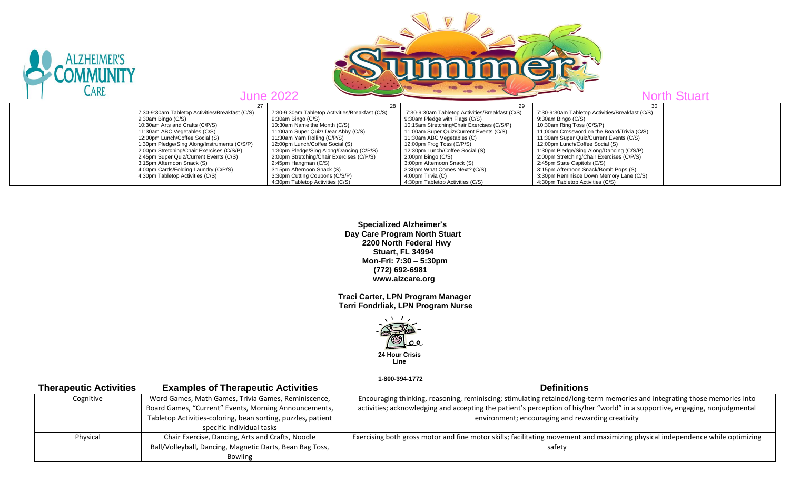

 **Specialized Alzheimer's Day Care Program North Stuart 2200 North Federal Hwy Stuart, FL 34994 Mon-Fri: 7:30 – 5:30pm (772) 692-6981 www.alzcare.org**

 **Traci Carter, LPN Program Manager Terri Fondrliak, LPN Program Nurse**



 **1-800-394-1772** 

| <b>Therapeutic Activities</b> | <b>Examples of Therapeutic Activities</b>                    | <b>Definitions</b>                                                                                                             |
|-------------------------------|--------------------------------------------------------------|--------------------------------------------------------------------------------------------------------------------------------|
| Cognitive                     | Word Games, Math Games, Trivia Games, Reminiscence,          | Encouraging thinking, reasoning, reminiscing; stimulating retained/long-term memories and integrating those memories into      |
|                               | Board Games, "Current" Events, Morning Announcements,        | activities; acknowledging and accepting the patient's perception of his/her "world" in a supportive, engaging, nonjudgmental   |
|                               | Tabletop Activities-coloring, bean sorting, puzzles, patient | environment; encouraging and rewarding creativity                                                                              |
|                               | specific individual tasks                                    |                                                                                                                                |
| Physical                      | Chair Exercise, Dancing, Arts and Crafts, Noodle             | Exercising both gross motor and fine motor skills; facilitating movement and maximizing physical independence while optimizing |
|                               | Ball/Volleyball, Dancing, Magnetic Darts, Bean Bag Toss,     | safety                                                                                                                         |
|                               | Bowling                                                      |                                                                                                                                |
|                               |                                                              |                                                                                                                                |